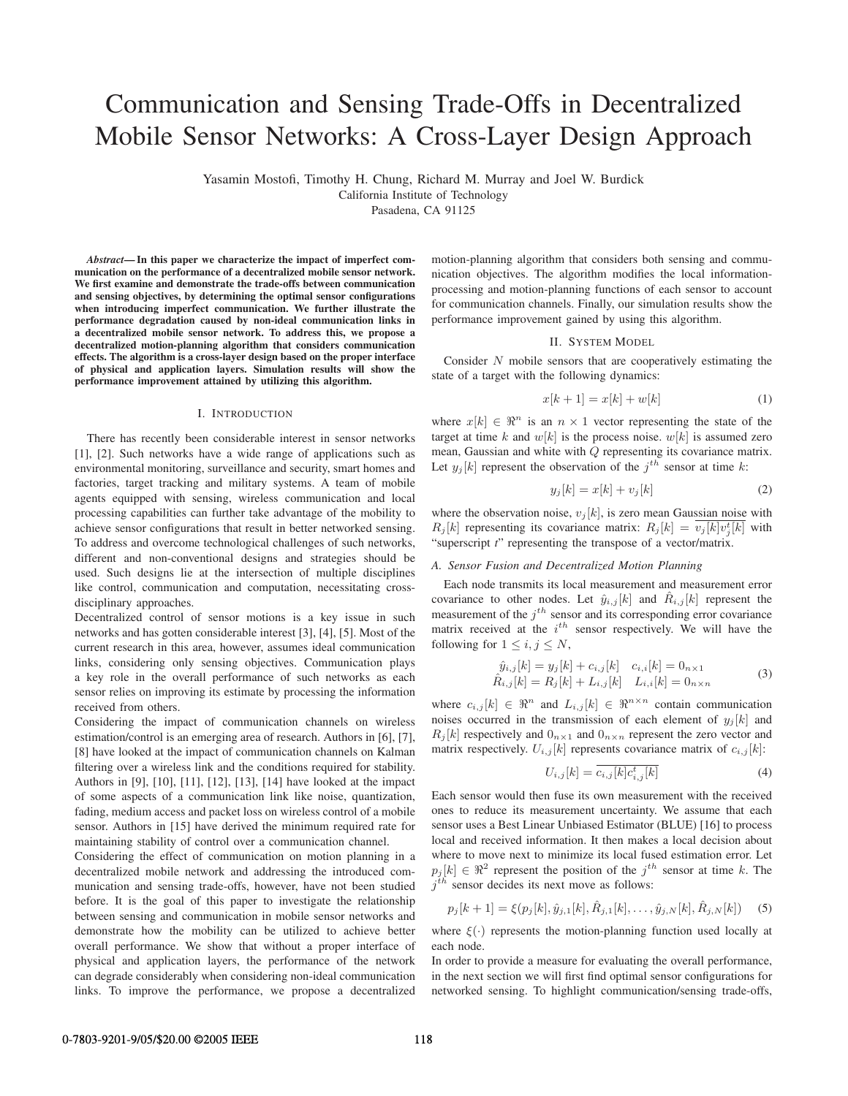# Communication and Sensing Trade-Offs in Decentralized Mobile Sensor Networks: A Cross-Layer Design Approach

Yasamin Mostofi, Timothy H. Chung, Richard M. Murray and Joel W. Burdick

California Institute of Technology

Pasadena, CA 91125

*Abstract***— In this paper we characterize the impact of imperfect communication on the performance of a decentralized mobile sensor network. We first examine and demonstrate the trade-offs between communication and sensing objectives, by determining the optimal sensor configurations when introducing imperfect communication. We further illustrate the performance degradation caused by non-ideal communication links in a decentralized mobile sensor network. To address this, we propose a decentralized motion-planning algorithm that considers communication effects. The algorithm is a cross-layer design based on the proper interface of physical and application layers. Simulation results will show the performance improvement attained by utilizing this algorithm.**

#### I. INTRODUCTION

There has recently been considerable interest in sensor networks [1], [2]. Such networks have a wide range of applications such as environmental monitoring, surveillance and security, smart homes and factories, target tracking and military systems. A team of mobile agents equipped with sensing, wireless communication and local processing capabilities can further take advantage of the mobility to achieve sensor configurations that result in better networked sensing. To address and overcome technological challenges of such networks, different and non-conventional designs and strategies should be used. Such designs lie at the intersection of multiple disciplines like control, communication and computation, necessitating crossdisciplinary approaches.

Decentralized control of sensor motions is a key issue in such networks and has gotten considerable interest [3], [4], [5]. Most of the current research in this area, however, assumes ideal communication links, considering only sensing objectives. Communication plays a key role in the overall performance of such networks as each sensor relies on improving its estimate by processing the information received from others.

Considering the impact of communication channels on wireless estimation/control is an emerging area of research. Authors in [6], [7], [8] have looked at the impact of communication channels on Kalman filtering over a wireless link and the conditions required for stability. Authors in [9], [10], [11], [12], [13], [14] have looked at the impact of some aspects of a communication link like noise, quantization, fading, medium access and packet loss on wireless control of a mobile sensor. Authors in [15] have derived the minimum required rate for maintaining stability of control over a communication channel.

Considering the effect of communication on motion planning in a decentralized mobile network and addressing the introduced communication and sensing trade-offs, however, have not been studied before. It is the goal of this paper to investigate the relationship between sensing and communication in mobile sensor networks and demonstrate how the mobility can be utilized to achieve better overall performance. We show that without a proper interface of physical and application layers, the performance of the network can degrade considerably when considering non-ideal communication links. To improve the performance, we propose a decentralized

motion-planning algorithm that considers both sensing and communication objectives. The algorithm modifies the local informationprocessing and motion-planning functions of each sensor to account for communication channels. Finally, our simulation results show the performance improvement gained by using this algorithm.

#### II. SYSTEM MODEL

Consider N mobile sensors that are cooperatively estimating the state of a target with the following dynamics:

$$
x[k+1] = x[k] + w[k] \tag{1}
$$

where  $x[k] \in \mathbb{R}^n$  is an  $n \times 1$  vector representing the state of the target at time k and  $w[k]$  is the process noise.  $w[k]$  is assumed zero mean, Gaussian and white with Q representing its covariance matrix. Let  $y_j[k]$  represent the observation of the  $j^{th}$  sensor at time k:

$$
y_j[k] = x[k] + v_j[k] \tag{2}
$$

where the observation noise,  $v_j[k]$ , is zero mean Gaussian noise with  $R_j[k]$  representing its covariance matrix:  $R_j[k] = \overline{v_j[k]v_j^t[k]}$  with "superscript *t*" representing the transpose of a vector/matrix.

#### *A. Sensor Fusion and Decentralized Motion Planning*

Each node transmits its local measurement and measurement error covariance to other nodes. Let  $\hat{y}_{i,j}[k]$  and  $\hat{R}_{i,j}[k]$  represent the measurement of the  $j<sup>th</sup>$  sensor and its corresponding error covariance matrix received at the  $i^{th}$  sensor respectively. We will have the following for  $1 \leq i, j \leq N$ ,

$$
\hat{y}_{i,j}[k] = y_j[k] + c_{i,j}[k] \quad c_{i,i}[k] = 0_{n \times 1} \n\hat{R}_{i,j}[k] = R_j[k] + L_{i,j}[k] \quad L_{i,i}[k] = 0_{n \times n}
$$
\n(3)

where  $c_{i,j}[k] \in \Re^n$  and  $L_{i,j}[k] \in \Re^{n \times n}$  contain communication noises occurred in the transmission of each element of  $y_i[k]$  and  $R_j[k]$  respectively and  $0_{n\times 1}$  and  $0_{n\times n}$  represent the zero vector and matrix respectively.  $U_{i,j}[k]$  represents covariance matrix of  $c_{i,j}[k]$ :

$$
U_{i,j}[k] = \overline{c_{i,j}[k]c_{i,j}^{t}[k]}
$$
\n(4)

Each sensor would then fuse its own measurement with the received ones to reduce its measurement uncertainty. We assume that each sensor uses a Best Linear Unbiased Estimator (BLUE) [16] to process local and received information. It then makes a local decision about where to move next to minimize its local fused estimation error. Let  $p_j[k] \in \Re^2$  represent the position of the  $j^{th}$  sensor at time k. The  $j<sup>th</sup>$  sensor decides its next move as follows:

$$
p_j[k+1] = \xi(p_j[k], \hat{y}_{j,1}[k], \hat{R}_{j,1}[k], \dots, \hat{y}_{j,N}[k], \hat{R}_{j,N}[k]) \quad (5)
$$

where  $\xi(\cdot)$  represents the motion-planning function used locally at each node.

In order to provide a measure for evaluating the overall performance, in the next section we will first find optimal sensor configurations for networked sensing. To highlight communication/sensing trade-offs,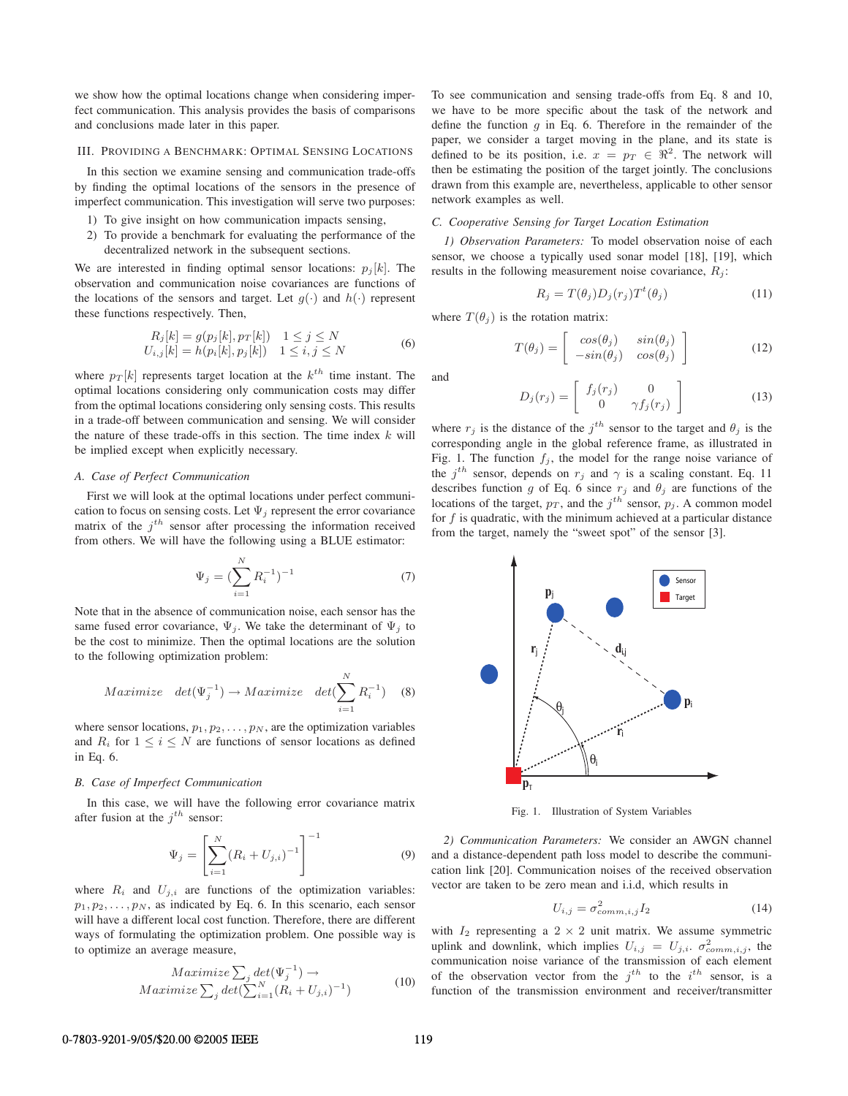we show how the optimal locations change when considering imperfect communication. This analysis provides the basis of comparisons and conclusions made later in this paper.

## III. PROVIDING A BENCHMARK: OPTIMAL SENSING LOCATIONS

In this section we examine sensing and communication trade-offs by finding the optimal locations of the sensors in the presence of imperfect communication. This investigation will serve two purposes:

- 1) To give insight on how communication impacts sensing,
- 2) To provide a benchmark for evaluating the performance of the decentralized network in the subsequent sections.

We are interested in finding optimal sensor locations:  $p_j[k]$ . The observation and communication noise covariances are functions of the locations of the sensors and target. Let  $g(\cdot)$  and  $h(\cdot)$  represent these functions respectively. Then,

$$
R_j[k] = g(p_j[k], p_T[k]) \quad 1 \le j \le N
$$
  
\n
$$
U_{i,j}[k] = h(p_i[k], p_j[k]) \quad 1 \le i, j \le N
$$
\n(6)

where  $p_T[k]$  represents target location at the  $k^{th}$  time instant. The optimal locations considering only communication costs may differ from the optimal locations considering only sensing costs. This results in a trade-off between communication and sensing. We will consider the nature of these trade-offs in this section. The time index  $k$  will be implied except when explicitly necessary.

# *A. Case of Perfect Communication*

First we will look at the optimal locations under perfect communication to focus on sensing costs. Let  $\Psi_i$  represent the error covariance matrix of the  $j<sup>th</sup>$  sensor after processing the information received from others. We will have the following using a BLUE estimator:

$$
\Psi_j = \left(\sum_{i=1}^N R_i^{-1}\right)^{-1} \tag{7}
$$

Note that in the absence of communication noise, each sensor has the same fused error covariance,  $\Psi_i$ . We take the determinant of  $\Psi_i$  to be the cost to minimize. Then the optimal locations are the solution to the following optimization problem:

$$
Maximize \quad det(\Psi_j^{-1}) \to Maximize \quad det(\sum_{i=1}^N R_i^{-1}) \quad (8)
$$

where sensor locations,  $p_1, p_2, \ldots, p_N$ , are the optimization variables and  $R_i$  for  $1 \leq i \leq N$  are functions of sensor locations as defined in Eq. 6.

# *B. Case of Imperfect Communication*

In this case, we will have the following error covariance matrix after fusion at the  $j^{th}$  sensor:

$$
\Psi_j = \left[ \sum_{i=1}^N (R_i + U_{j,i})^{-1} \right]^{-1} \tag{9}
$$

where  $R_i$  and  $U_{j,i}$  are functions of the optimization variables:  $p_1, p_2, \ldots, p_N$ , as indicated by Eq. 6. In this scenario, each sensor will have a different local cost function. Therefore, there are different ways of formulating the optimization problem. One possible way is to optimize an average measure,

$$
Maximize \sum_{j} det(\Psi_{j}^{-1}) \rightarrow Maximize \sum_{j} det(\sum_{i=1}^{N} (R_{i} + U_{j,i})^{-1})
$$
(10)

To see communication and sensing trade-offs from Eq. 8 and 10, we have to be more specific about the task of the network and define the function  $q$  in Eq. 6. Therefore in the remainder of the paper, we consider a target moving in the plane, and its state is defined to be its position, i.e.  $x = p_T \in \Re^2$ . The network will then be estimating the position of the target jointly. The conclusions drawn from this example are, nevertheless, applicable to other sensor network examples as well.

## *C. Cooperative Sensing for Target Location Estimation*

*1) Observation Parameters:* To model observation noise of each sensor, we choose a typically used sonar model [18], [19], which results in the following measurement noise covariance,  $R_i$ :

$$
R_j = T(\theta_j) D_j(r_j) T^t(\theta_j)
$$
\n(11)

where  $T(\theta_i)$  is the rotation matrix:

$$
T(\theta_j) = \begin{bmatrix} \cos(\theta_j) & \sin(\theta_j) \\ -\sin(\theta_j) & \cos(\theta_j) \end{bmatrix}
$$
 (12)

and

$$
D_j(r_j) = \begin{bmatrix} f_j(r_j) & 0\\ 0 & \gamma f_j(r_j) \end{bmatrix}
$$
 (13)

where  $r_j$  is the distance of the  $j^{th}$  sensor to the target and  $\theta_j$  is the corresponding angle in the global reference frame, as illustrated in Fig. 1. The function  $f_i$ , the model for the range noise variance of the  $j^{th}$  sensor, depends on  $r_j$  and  $\gamma$  is a scaling constant. Eq. 11 describes function g of Eq. 6 since  $r_i$  and  $\theta_i$  are functions of the locations of the target,  $p_T$ , and the j<sup>th</sup> sensor,  $p_j$ . A common model for  $f$  is quadratic, with the minimum achieved at a particular distance from the target, namely the "sweet spot" of the sensor [3].



Fig. 1. Illustration of System Variables

*2) Communication Parameters:* We consider an AWGN channel and a distance-dependent path loss model to describe the communication link [20]. Communication noises of the received observation vector are taken to be zero mean and i.i.d, which results in

$$
U_{i,j} = \sigma_{comm,i,j}^2 I_2 \tag{14}
$$

with  $I_2$  representing a  $2 \times 2$  unit matrix. We assume symmetric uplink and downlink, which implies  $U_{i,j} = U_{j,i}$ .  $\sigma_{comm,i,j}^2$ , the communication noise variance of the transmission of each element of the observation vector from the  $j^{th}$  to the  $i^{th}$  sensor, is a function of the transmission environment and receiver/transmitter

## 0-7803-9201-9/05/\$20.00 © 2005 IEEE 119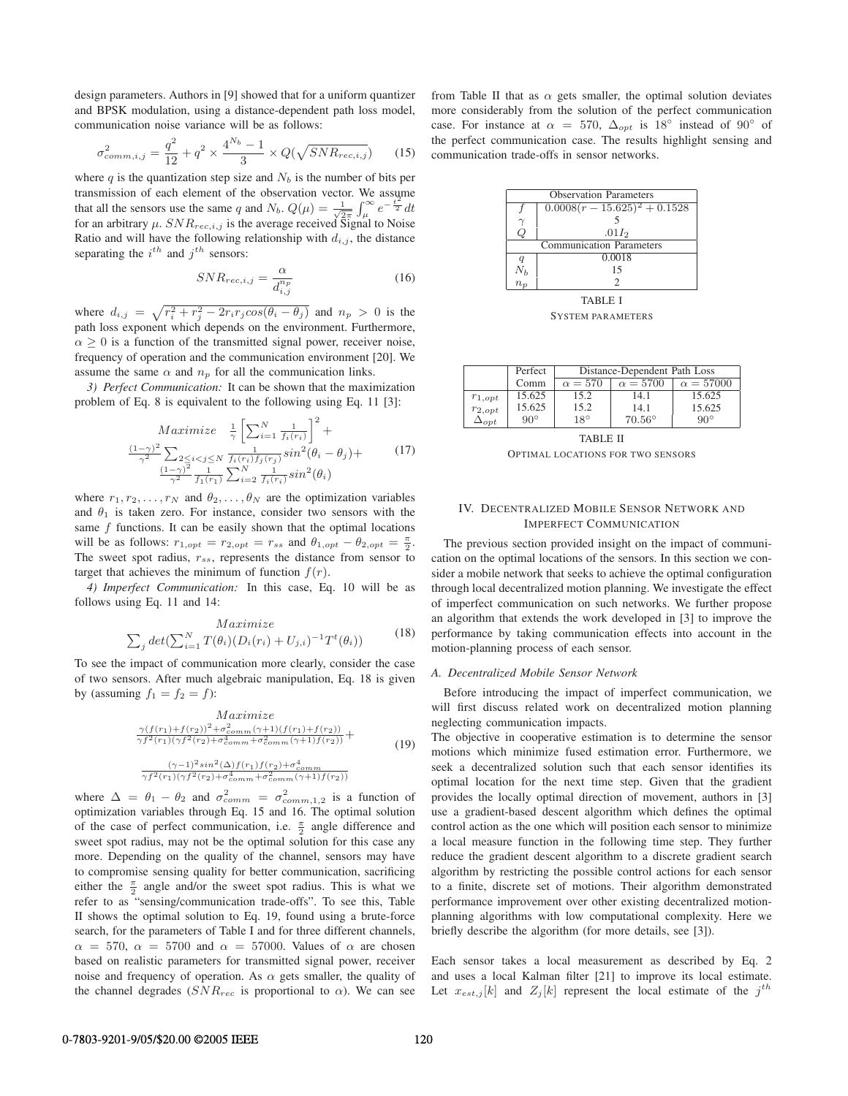design parameters. Authors in [9] showed that for a uniform quantizer and BPSK modulation, using a distance-dependent path loss model, communication noise variance will be as follows:

$$
\sigma_{comm,i,j}^2 = \frac{q^2}{12} + q^2 \times \frac{4^{N_b} - 1}{3} \times Q(\sqrt{SNR_{rec,i,j}})
$$
 (15)

where q is the quantization step size and  $N_b$  is the number of bits per transmission of each element of the observation vector. We assume that all the sensors use the same q and  $N_b$ .  $Q(\mu) = \frac{1}{\sqrt{2\pi}} \int_{\mu}^{\infty} e^{-\frac{t^2}{2}} dt$ for an arbitrary  $\mu$ .  $SNR_{rec,i,j}$  is the average received Signal to Noise Ratio and will have the following relationship with  $d_{i,j}$ , the distance separating the  $i^{th}$  and  $j^{th}$  sensors:

$$
SNR_{rec,i,j} = \frac{\alpha}{d_{i,j}^{n_p}}
$$
\n(16)

where  $d_{i,j} = \sqrt{r_i^2 + r_j^2 - 2r_i r_j cos(\theta_i - \theta_j)}$  and  $n_p > 0$  is the path loss exponent which depends on the environment. Furthermore,  $\alpha \geq 0$  is a function of the transmitted signal power, receiver noise, frequency of operation and the communication environment [20]. We assume the same  $\alpha$  and  $n_p$  for all the communication links.

*3) Perfect Communication:* It can be shown that the maximization problem of Eq. 8 is equivalent to the following using Eq. 11 [3]:

$$
Maximize \quad \frac{1}{\gamma} \left[ \sum_{i=1}^{N} \frac{1}{f_i(r_i)} \right]^2 +
$$
\n
$$
\frac{(1-\gamma)^2}{\gamma^2} \sum_{\substack{2 \le i < j \le N \\ \gamma^2}} \frac{1}{f_i(r_i)f_j(r_j)} sin^2(\theta_i - \theta_j) +
$$
\n
$$
\frac{(1-\gamma)^2}{\gamma^2} \frac{1}{f_1(r_1)} \sum_{i=2}^{N} \frac{1}{f_i(r_i)} sin^2(\theta_i)
$$
\n(17)

where  $r_1, r_2, \ldots, r_N$  and  $\theta_2, \ldots, \theta_N$  are the optimization variables and  $\theta_1$  is taken zero. For instance, consider two sensors with the same  $f$  functions. It can be easily shown that the optimal locations will be as follows:  $r_{1,opt} = r_{2,opt} = r_{ss}$  and  $\theta_{1,opt} - \theta_{2,opt} = \frac{\pi}{2}$ . The sweet spot radius,  $r_{ss}$ , represents the distance from sensor to target that achieves the minimum of function  $f(r)$ .

*4) Imperfect Communication:* In this case, Eq. 10 will be as follows using Eq. 11 and 14:

$$
Maximize
$$
  

$$
\sum_{j} det(\sum_{i=1}^{N} T(\theta_i)(D_i(r_i) + U_{j,i})^{-1} T^t(\theta_i))
$$
 (18)

To see the impact of communication more clearly, consider the case of two sensors. After much algebraic manipulation, Eq. 18 is given by (assuming  $f_1 = f_2 = f$ ):

$$
Maximize
$$
  
\n
$$
\frac{\gamma(f(r_1) + f(r_2))^2 + \sigma_{comm}^2(\gamma + 1)(f(r_1) + f(r_2))}{\gamma f^2(r_1)(\gamma f^2(r_2) + \sigma_{comm}^4 + \sigma_{comm}^2(\gamma + 1)f(r_2))} +
$$
  
\n
$$
\frac{(\gamma - 1)^2 \sin^2(\Delta) f(r_1) f(r_2) + \sigma_{comm}^4}{\gamma f^2(r_1)(\gamma f^2(r_2) + \sigma_{comm}^4 + \sigma_{comm}^2(\gamma + 1)f(r_2))}
$$
\n(19)

where  $\Delta = \theta_1 - \theta_2$  and  $\sigma_{comm}^2 = \sigma_{comm,1,2}^2$  is a function of optimization variables through Eq. 15 and 16. The optimal solution of the case of perfect communication, i.e.  $\frac{\pi}{2}$  angle difference and sweet spot radius, may not be the optimal solution for this case any more. Depending on the quality of the channel, sensors may have to compromise sensing quality for better communication, sacrificing either the  $\frac{\pi}{2}$  angle and/or the sweet spot radius. This is what we refer to as "sensing/communication trade-offs". To see this, Table II shows the optimal solution to Eq. 19, found using a brute-force search, for the parameters of Table I and for three different channels,  $\alpha = 570$ ,  $\alpha = 5700$  and  $\alpha = 57000$ . Values of  $\alpha$  are chosen based on realistic parameters for transmitted signal power, receiver noise and frequency of operation. As  $\alpha$  gets smaller, the quality of the channel degrades ( $SNR_{rec}$  is proportional to  $\alpha$ ). We can see from Table II that as  $\alpha$  gets smaller, the optimal solution deviates more considerably from the solution of the perfect communication case. For instance at  $\alpha = 570$ ,  $\Delta_{opt}$  is 18° instead of 90° of the perfect communication case. The results highlight sensing and communication trade-offs in sensor networks.



SYSTEM PARAMETERS

|                | Perfect    | Distance-Dependent Path Loss |                 |                  |
|----------------|------------|------------------------------|-----------------|------------------|
|                | Comm       | $\alpha = 570$               | $\alpha = 5700$ | $\alpha = 57000$ |
| $r_{1,opt}$    | 15.625     | 15.2                         | 14 1            | 15.625           |
| $r_{2,opt}$    | 15.625     | 15.2                         | 14 1            | 15.625           |
| $\Delta_{opt}$ | $90^\circ$ | $18^\circ$                   | $70.56^\circ$   | $90^\circ$       |

TABLE II OPTIMAL LOCATIONS FOR TWO SENSORS

# IV. DECENTRALIZED MOBILE SENSOR NETWORK AND IMPERFECT COMMUNICATION

The previous section provided insight on the impact of communication on the optimal locations of the sensors. In this section we consider a mobile network that seeks to achieve the optimal configuration through local decentralized motion planning. We investigate the effect of imperfect communication on such networks. We further propose an algorithm that extends the work developed in [3] to improve the performance by taking communication effects into account in the motion-planning process of each sensor.

## *A. Decentralized Mobile Sensor Network*

Before introducing the impact of imperfect communication, we will first discuss related work on decentralized motion planning neglecting communication impacts.

The objective in cooperative estimation is to determine the sensor motions which minimize fused estimation error. Furthermore, we seek a decentralized solution such that each sensor identifies its optimal location for the next time step. Given that the gradient provides the locally optimal direction of movement, authors in [3] use a gradient-based descent algorithm which defines the optimal control action as the one which will position each sensor to minimize a local measure function in the following time step. They further reduce the gradient descent algorithm to a discrete gradient search algorithm by restricting the possible control actions for each sensor to a finite, discrete set of motions. Their algorithm demonstrated performance improvement over other existing decentralized motionplanning algorithms with low computational complexity. Here we briefly describe the algorithm (for more details, see [3]).

Each sensor takes a local measurement as described by Eq. 2 and uses a local Kalman filter [21] to improve its local estimate. Let  $x_{est,j}[k]$  and  $Z_j[k]$  represent the local estimate of the  $j^{th}$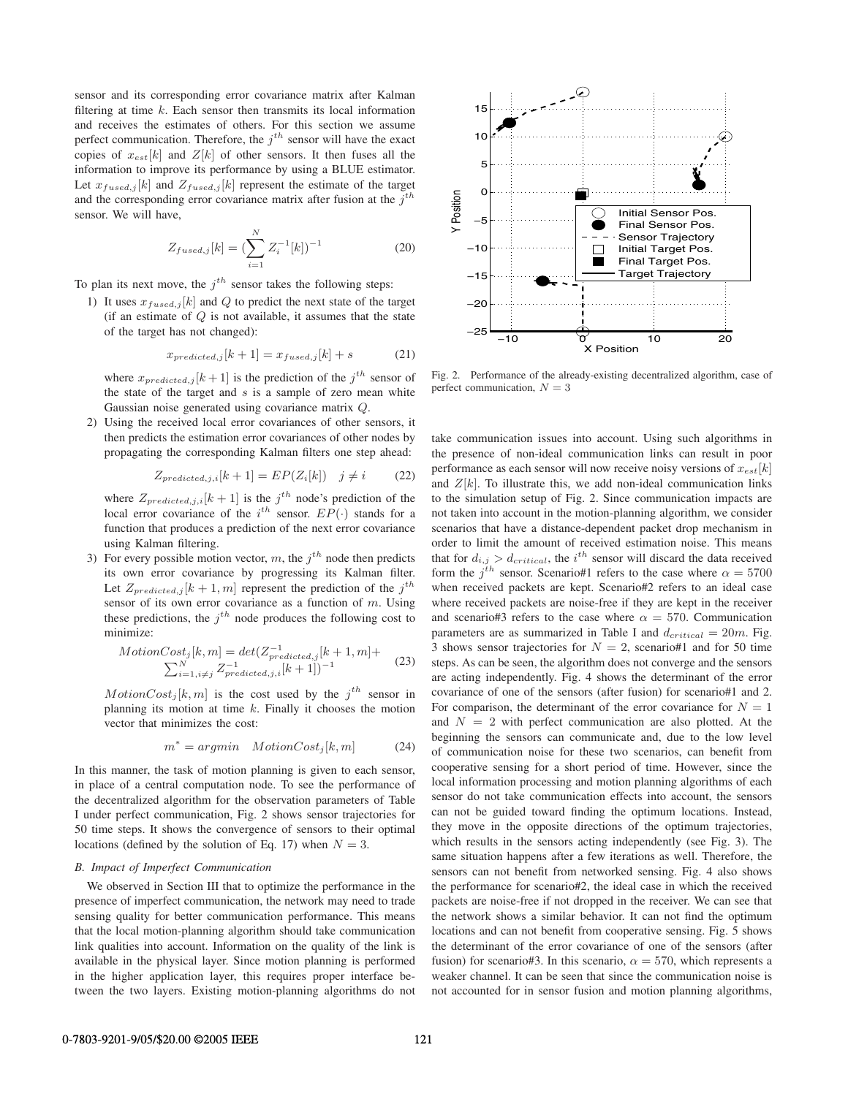sensor and its corresponding error covariance matrix after Kalman filtering at time  $k$ . Each sensor then transmits its local information and receives the estimates of others. For this section we assume perfect communication. Therefore, the  $j<sup>th</sup>$  sensor will have the exact copies of  $x_{est}[k]$  and  $Z[k]$  of other sensors. It then fuses all the information to improve its performance by using a BLUE estimator. Let  $x_{fused,j}[k]$  and  $Z_{fused,j}[k]$  represent the estimate of the target and the corresponding error covariance matrix after fusion at the  $j<sup>th</sup>$ sensor. We will have,

$$
Z_{fused,j}[k] = \left(\sum_{i=1}^{N} Z_i^{-1}[k]\right)^{-1} \tag{20}
$$

To plan its next move, the  $j<sup>th</sup>$  sensor takes the following steps:

1) It uses  $x_{fused,j}[k]$  and Q to predict the next state of the target (if an estimate of  $Q$  is not available, it assumes that the state of the target has not changed):

$$
x_{predicted,j}[k+1] = x_{fused,j}[k] + s \tag{21}
$$

where  $x_{predicted,j}[k+1]$  is the prediction of the  $j^{th}$  sensor of the state of the target and  $s$  is a sample of zero mean white Gaussian noise generated using covariance matrix Q.

2) Using the received local error covariances of other sensors, it then predicts the estimation error covariances of other nodes by propagating the corresponding Kalman filters one step ahead:

$$
Z_{predicted,j,i}[k+1] = EP(Z_i[k]) \quad j \neq i \tag{22}
$$

where  $Z_{predicted,j,i}[k+1]$  is the  $j<sup>th</sup>$  node's prediction of the local error covariance of the  $i^{th}$  sensor.  $EP(\cdot)$  stands for a function that produces a prediction of the next error covariance using Kalman filtering.

3) For every possible motion vector, m, the  $j<sup>th</sup>$  node then predicts its own error covariance by progressing its Kalman filter. Let  $Z_{predicted,j}[k+1,m]$  represent the prediction of the  $j<sup>th</sup>$ sensor of its own error covariance as a function of  $m$ . Using these predictions, the  $j<sup>th</sup>$  node produces the following cost to minimize:

$$
MotionCost_j[k, m] = det(Z_{predicted, j}^{-1}[k+1, m] + \sum_{i=1, i \neq j}^{N} Z_{predicted, j, i}^{-1}[k+1])^{-1}
$$
 (23)

 $MotionCost<sub>j</sub>[k,m]$  is the cost used by the  $j<sup>th</sup>$  sensor in planning its motion at time  $k$ . Finally it chooses the motion vector that minimizes the cost:

$$
m^* = argmin \quad MotionCost_j[k, m] \tag{24}
$$

In this manner, the task of motion planning is given to each sensor, in place of a central computation node. To see the performance of the decentralized algorithm for the observation parameters of Table I under perfect communication, Fig. 2 shows sensor trajectories for 50 time steps. It shows the convergence of sensors to their optimal locations (defined by the solution of Eq. 17) when  $N = 3$ .

## *B. Impact of Imperfect Communication*

We observed in Section III that to optimize the performance in the presence of imperfect communication, the network may need to trade sensing quality for better communication performance. This means that the local motion-planning algorithm should take communication link qualities into account. Information on the quality of the link is available in the physical layer. Since motion planning is performed in the higher application layer, this requires proper interface between the two layers. Existing motion-planning algorithms do not



Fig. 2. Performance of the already-existing decentralized algorithm, case of perfect communication, *N* = 3

take communication issues into account. Using such algorithms in the presence of non-ideal communication links can result in poor performance as each sensor will now receive noisy versions of  $x_{est}[k]$ and  $Z[k]$ . To illustrate this, we add non-ideal communication links to the simulation setup of Fig. 2. Since communication impacts are not taken into account in the motion-planning algorithm, we consider scenarios that have a distance-dependent packet drop mechanism in order to limit the amount of received estimation noise. This means that for  $d_{i,j} > d_{critical}$ , the *i*<sup>th</sup> sensor will discard the data received form the  $j<sup>th</sup>$  sensor. Scenario#1 refers to the case where  $\alpha = 5700$ when received packets are kept. Scenario#2 refers to an ideal case where received packets are noise-free if they are kept in the receiver and scenario#3 refers to the case where  $\alpha = 570$ . Communication parameters are as summarized in Table I and  $d_{critical} = 20m$ . Fig. 3 shows sensor trajectories for  $N = 2$ , scenario#1 and for 50 time steps. As can be seen, the algorithm does not converge and the sensors are acting independently. Fig. 4 shows the determinant of the error covariance of one of the sensors (after fusion) for scenario#1 and 2. For comparison, the determinant of the error covariance for  $N = 1$ and  $N = 2$  with perfect communication are also plotted. At the beginning the sensors can communicate and, due to the low level of communication noise for these two scenarios, can benefit from cooperative sensing for a short period of time. However, since the local information processing and motion planning algorithms of each sensor do not take communication effects into account, the sensors can not be guided toward finding the optimum locations. Instead, they move in the opposite directions of the optimum trajectories, which results in the sensors acting independently (see Fig. 3). The same situation happens after a few iterations as well. Therefore, the sensors can not benefit from networked sensing. Fig. 4 also shows the performance for scenario#2, the ideal case in which the received packets are noise-free if not dropped in the receiver. We can see that the network shows a similar behavior. It can not find the optimum locations and can not benefit from cooperative sensing. Fig. 5 shows the determinant of the error covariance of one of the sensors (after fusion) for scenario#3. In this scenario,  $\alpha = 570$ , which represents a weaker channel. It can be seen that since the communication noise is not accounted for in sensor fusion and motion planning algorithms,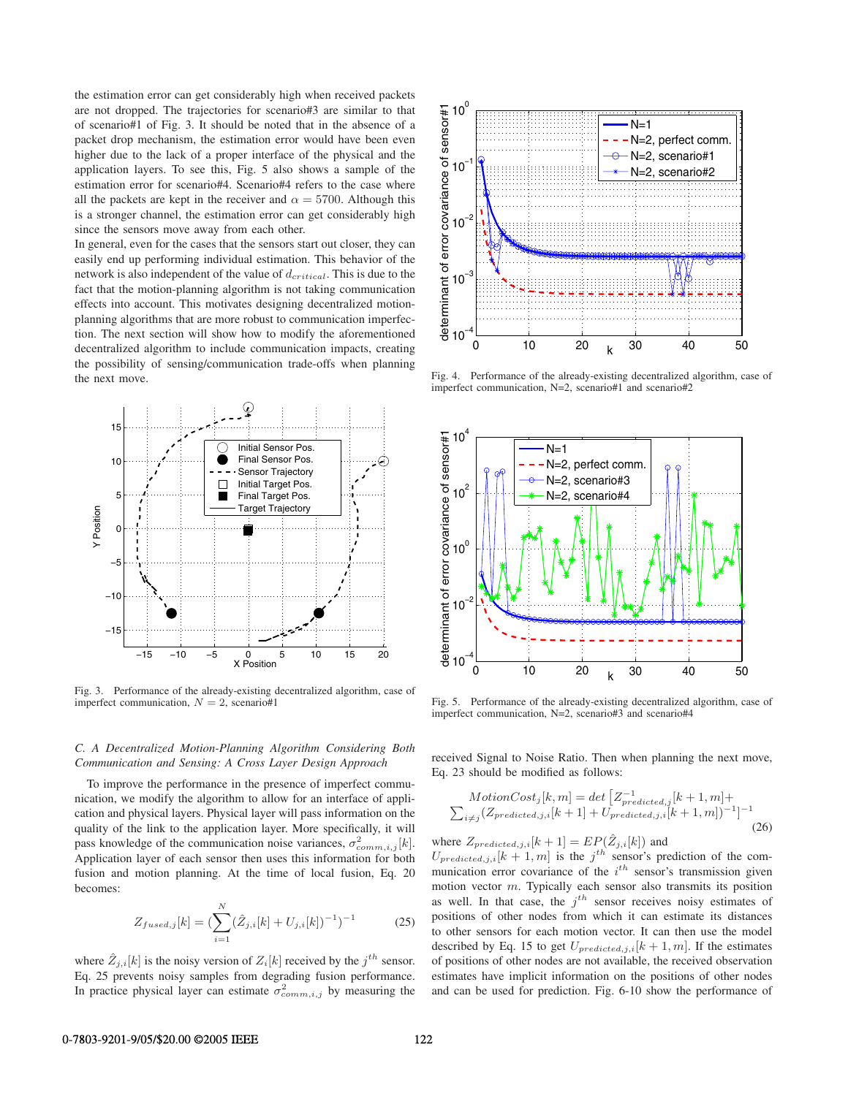the estimation error can get considerably high when received packets are not dropped. The trajectories for scenario#3 are similar to that of scenario#1 of Fig. 3. It should be noted that in the absence of a packet drop mechanism, the estimation error would have been even higher due to the lack of a proper interface of the physical and the application layers. To see this, Fig. 5 also shows a sample of the estimation error for scenario#4. Scenario#4 refers to the case where all the packets are kept in the receiver and  $\alpha = 5700$ . Although this is a stronger channel, the estimation error can get considerably high since the sensors move away from each other.

In general, even for the cases that the sensors start out closer, they can easily end up performing individual estimation. This behavior of the network is also independent of the value of  $d_{critical}$ . This is due to the fact that the motion-planning algorithm is not taking communication effects into account. This motivates designing decentralized motionplanning algorithms that are more robust to communication imperfection. The next section will show how to modify the aforementioned decentralized algorithm to include communication impacts, creating the possibility of sensing/communication trade-offs when planning the next move.



Fig. 3. Performance of the already-existing decentralized algorithm, case of imperfect communication,  $N = 2$ , scenario#1

# *C. A Decentralized Motion-Planning Algorithm Considering Both Communication and Sensing: A Cross Layer Design Approach*

To improve the performance in the presence of imperfect communication, we modify the algorithm to allow for an interface of application and physical layers. Physical layer will pass information on the quality of the link to the application layer. More specifically, it will pass knowledge of the communication noise variances,  $\sigma_{comm,i,j}^2[k]$ . Application layer of each sensor then uses this information for both fusion and motion planning. At the time of local fusion, Eq. 20 becomes:

$$
Z_{fused,j}[k] = \left(\sum_{i=1}^{N} (\hat{Z}_{j,i}[k] + U_{j,i}[k])^{-1}\right)^{-1}
$$
 (25)

where  $\hat{Z}_{j,i}[k]$  is the noisy version of  $Z_i[k]$  received by the  $j^{th}$  sensor. Eq. 25 prevents noisy samples from degrading fusion performance. In practice physical layer can estimate  $\sigma_{comm,i,j}^2$  by measuring the



Fig. 4. Performance of the already-existing decentralized algorithm, case of imperfect communication, N=2, scenario#1 and scenario#2



Fig. 5. Performance of the already-existing decentralized algorithm, case of imperfect communication, N=2, scenario#3 and scenario#4

received Signal to Noise Ratio. Then when planning the next move, Eq. 23 should be modified as follows:

$$
MotionCost_j[k, m] = det \left[ Z_{predicted,j}^{-1}[k+1, m] + \sum_{i \neq j} (Z_{predicted,j,i}[k+1] + U_{predicted,j,i}[k+1, m])^{-1} \right]^{-1}
$$
\n(26)

where  $Z_{predicted,j,i}[k+1] = EP(\hat{Z}_{j,i}[k])$  and  $U_{predicted,j,i}[k+1,m]$  is the  $j<sup>th</sup>$  sensor's prediction of the com-

munication error covariance of the  $i^{th}$  sensor's transmission given motion vector  $m$ . Typically each sensor also transmits its position as well. In that case, the  $j^{th}$  sensor receives noisy estimates of positions of other nodes from which it can estimate its distances to other sensors for each motion vector. It can then use the model described by Eq. 15 to get  $U_{predicted,j,i}[k+1,m]$ . If the estimates of positions of other nodes are not available, the received observation estimates have implicit information on the positions of other nodes and can be used for prediction. Fig. 6-10 show the performance of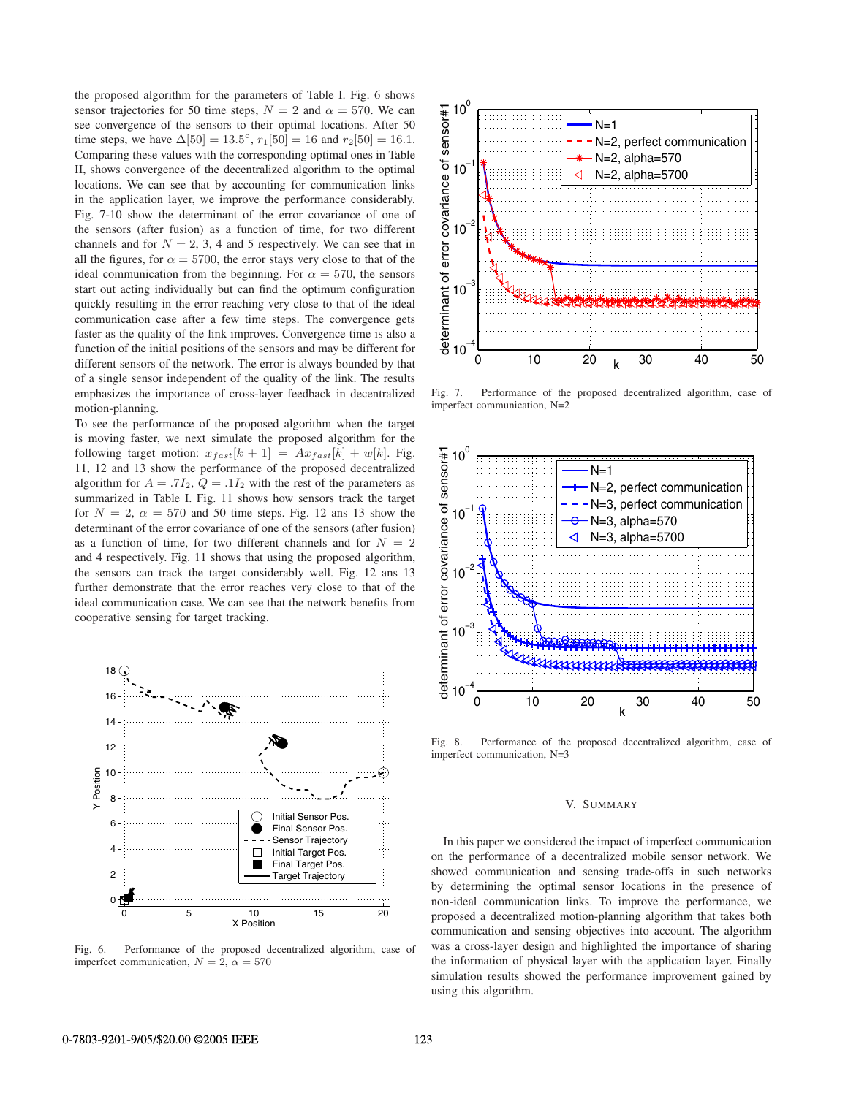the proposed algorithm for the parameters of Table I. Fig. 6 shows sensor trajectories for 50 time steps,  $N = 2$  and  $\alpha = 570$ . We can see convergence of the sensors to their optimal locations. After 50 time steps, we have  $\Delta[50] = 13.5^{\circ}$ ,  $r_1[50] = 16$  and  $r_2[50] = 16.1$ . Comparing these values with the corresponding optimal ones in Table II, shows convergence of the decentralized algorithm to the optimal locations. We can see that by accounting for communication links in the application layer, we improve the performance considerably. Fig. 7-10 show the determinant of the error covariance of one of the sensors (after fusion) as a function of time, for two different channels and for  $N = 2, 3, 4$  and 5 respectively. We can see that in all the figures, for  $\alpha = 5700$ , the error stays very close to that of the ideal communication from the beginning. For  $\alpha = 570$ , the sensors start out acting individually but can find the optimum configuration quickly resulting in the error reaching very close to that of the ideal communication case after a few time steps. The convergence gets faster as the quality of the link improves. Convergence time is also a function of the initial positions of the sensors and may be different for different sensors of the network. The error is always bounded by that of a single sensor independent of the quality of the link. The results emphasizes the importance of cross-layer feedback in decentralized motion-planning.

To see the performance of the proposed algorithm when the target is moving faster, we next simulate the proposed algorithm for the following target motion:  $x_{fast}[k + 1] = Ax_{fast}[k] + w[k]$ . Fig. 11, 12 and 13 show the performance of the proposed decentralized algorithm for  $A = .7I_2$ ,  $Q = .1I_2$  with the rest of the parameters as summarized in Table I. Fig. 11 shows how sensors track the target for  $N = 2$ ,  $\alpha = 570$  and 50 time steps. Fig. 12 ans 13 show the determinant of the error covariance of one of the sensors (after fusion) as a function of time, for two different channels and for  $N = 2$ and 4 respectively. Fig. 11 shows that using the proposed algorithm, the sensors can track the target considerably well. Fig. 12 ans 13 further demonstrate that the error reaches very close to that of the ideal communication case. We can see that the network benefits from cooperative sensing for target tracking.



Fig. 6. Performance of the proposed decentralized algorithm, case of imperfect communication,  $N = 2$ ,  $\alpha = 570$ 



Fig. 7. Performance of the proposed decentralized algorithm, case of imperfect communication, N=2



Fig. 8. Performance of the proposed decentralized algorithm, case of imperfect communication, N=3

## V. SUMMARY

In this paper we considered the impact of imperfect communication on the performance of a decentralized mobile sensor network. We showed communication and sensing trade-offs in such networks by determining the optimal sensor locations in the presence of non-ideal communication links. To improve the performance, we proposed a decentralized motion-planning algorithm that takes both communication and sensing objectives into account. The algorithm was a cross-layer design and highlighted the importance of sharing the information of physical layer with the application layer. Finally simulation results showed the performance improvement gained by using this algorithm.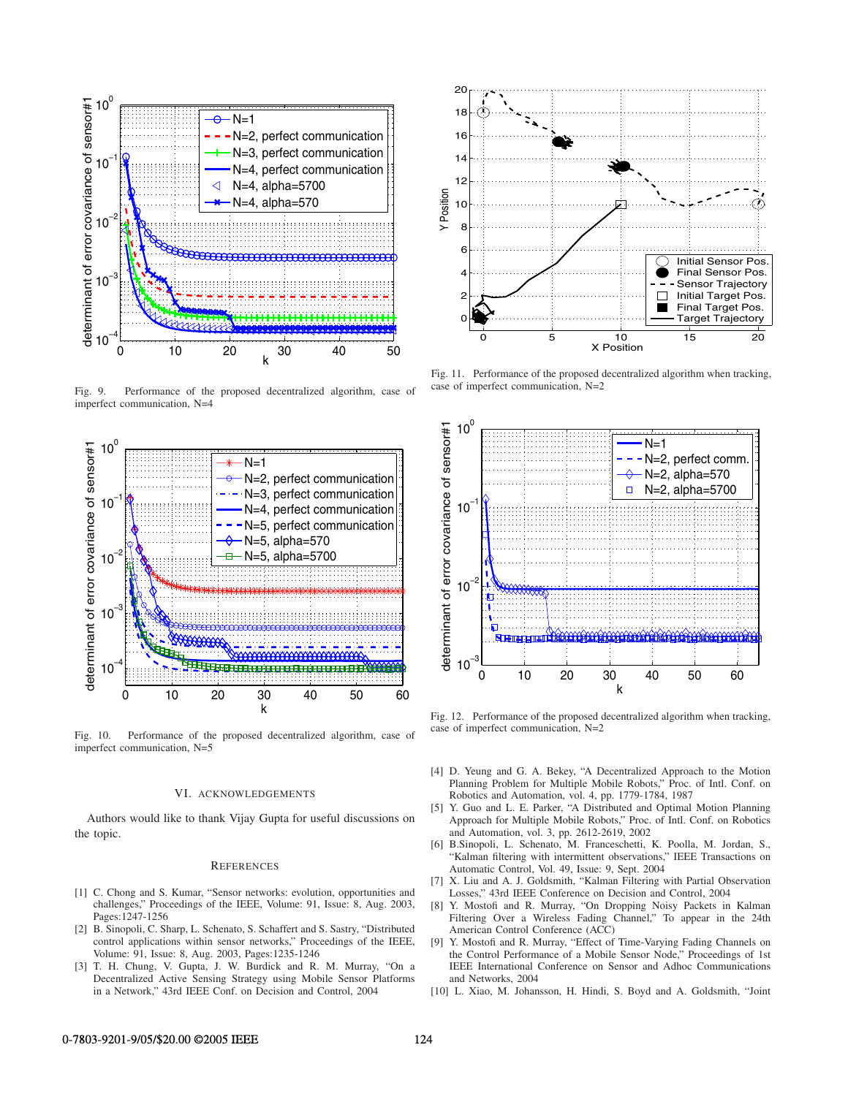

Fig. 9. Performance of the proposed decentralized algorithm, case of imperfect communication, N=4



Fig. 10. Performance of the proposed decentralized algorithm, case of imperfect communication, N=5

#### VI. ACKNOWLEDGEMENTS

Authors would like to thank Vijay Gupta for useful discussions on the topic.

## **REFERENCES**

- [1] C. Chong and S. Kumar, "Sensor networks: evolution, opportunities and challenges," Proceedings of the IEEE, Volume: 91, Issue: 8, Aug. 2003, Pages:1247-1256
- [2] B. Sinopoli, C. Sharp, L. Schenato, S. Schaffert and S. Sastry, "Distributed control applications within sensor networks," Proceedings of the IEEE, Volume: 91, Issue: 8, Aug. 2003, Pages:1235-1246
- [3] T. H. Chung, V. Gupta, J. W. Burdick and R. M. Murray, "On a Decentralized Active Sensing Strategy using Mobile Sensor Platforms in a Network," 43rd IEEE Conf. on Decision and Control, 2004



Fig. 11. Performance of the proposed decentralized algorithm when tracking, case of imperfect communication, N=2



Fig. 12. Performance of the proposed decentralized algorithm when tracking, case of imperfect communication, N=2

- [4] D. Yeung and G. A. Bekey, "A Decentralized Approach to the Motion Planning Problem for Multiple Mobile Robots," Proc. of Intl. Conf. on Robotics and Automation, vol. 4, pp. 1779-1784, 1987
- [5] Y. Guo and L. E. Parker, "A Distributed and Optimal Motion Planning Approach for Multiple Mobile Robots," Proc. of Intl. Conf. on Robotics and Automation, vol. 3, pp. 2612-2619, 2002
- [6] B.Sinopoli, L. Schenato, M. Franceschetti, K. Poolla, M. Jordan, S., "Kalman filtering with intermittent observations," IEEE Transactions on Automatic Control, Vol. 49, Issue: 9, Sept. 2004
- [7] X. Liu and A. J. Goldsmith, "Kalman Filtering with Partial Observation Losses," 43rd IEEE Conference on Decision and Control, 2004
- [8] Y. Mostofi and R. Murray, "On Dropping Noisy Packets in Kalman Filtering Over a Wireless Fading Channel," To appear in the 24th American Control Conference (ACC)
- [9] Y. Mostofi and R. Murray, "Effect of Time-Varying Fading Channels on the Control Performance of a Mobile Sensor Node," Proceedings of 1st IEEE International Conference on Sensor and Adhoc Communications and Networks, 2004
- [10] L. Xiao, M. Johansson, H. Hindi, S. Boyd and A. Goldsmith, "Joint